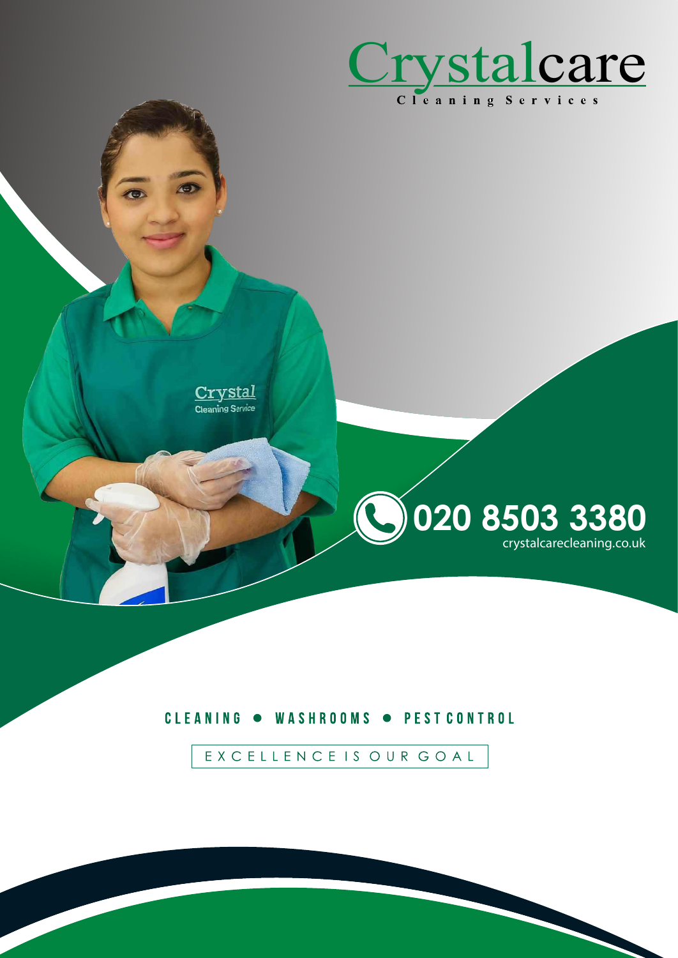

<u>ystal</u> Cleaning Service

# **GO20 8503 3380** crystalcarecleaning.co.uk

#### CLEANING . WASHROOMS . PEST CONTROL

EXCELLENCE IS OUR GOAL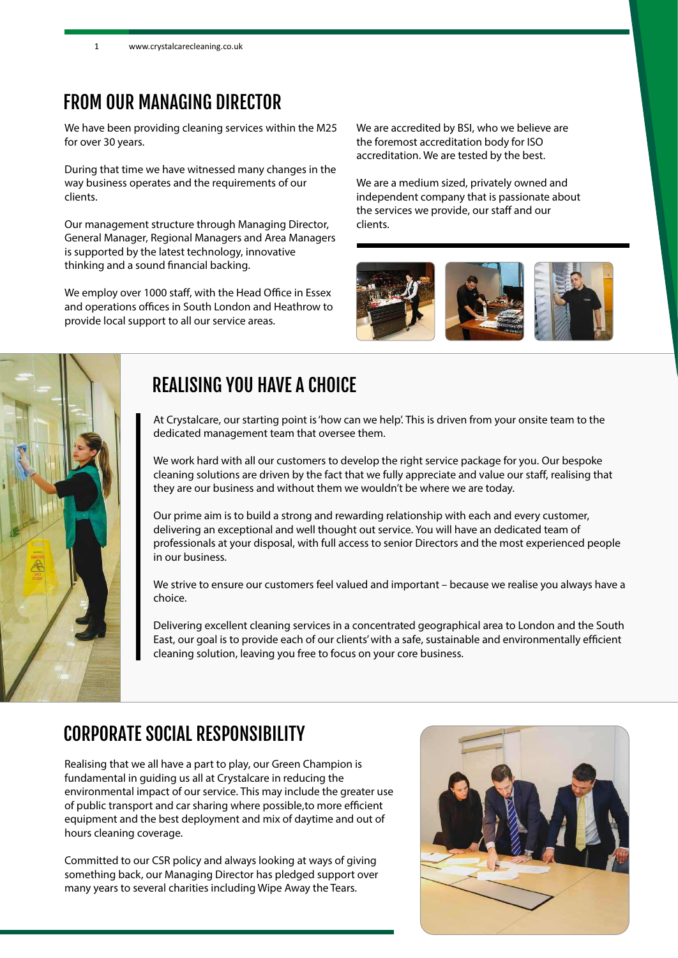### FROM OUR MANAGING DIRECTOR

We have been providing cleaning services within the M25 for over 30 years.

During that time we have witnessed many changes in the way business operates and the requirements of our clients.

Our management structure through Managing Director, General Manager, Regional Managers and Area Managers is supported by the latest technology, innovative thinking and a sound financial backing.

We employ over 1000 staff, with the Head Office in Essex and operations offices in South London and Heathrow to provide local support to all our service areas.

We are accredited by BSI, who we believe are the foremost accreditation body for ISO accreditation. We are tested by the best.

We are a medium sized, privately owned and independent company that is passionate about the services we provide, our staff and our clients.





### REALISING YOU HAVE A CHOICE

At Crystalcare, our starting point is 'how can we help'. This is driven from your onsite team to the dedicated management team that oversee them.

We work hard with all our customers to develop the right service package for you. Our bespoke cleaning solutions are driven by the fact that we fully appreciate and value our staff, realising that they are our business and without them we wouldn't be where we are today.

Our prime aim is to build a strong and rewarding relationship with each and every customer, delivering an exceptional and well thought out service. You will have an dedicated team of professionals at your disposal, with full access to senior Directors and the most experienced people in our business.

We strive to ensure our customers feel valued and important - because we realise you always have a choice.

Delivering excellent cleaning services in a concentrated geographical area to London and the South East, our goal is to provide each of our clients' with a safe, sustainable and environmentally efficient cleaning solution, leaving you free to focus on your core business.

#### CORPORATE SOCIAL RESPONSIBILITY

Realising that we all have a part to play, our Green Champion is fundamental in guiding us all at Crystalcare in reducing the environmental impact of our service. This may include the greater use of public transport and car sharing where possible,to more efficient equipment and the best deployment and mix of daytime and out of hours cleaning coverage.

Committed to our CSR policy and always looking at ways of giving something back, our Managing Director has pledged support over many years to several charities including Wipe Away the Tears.

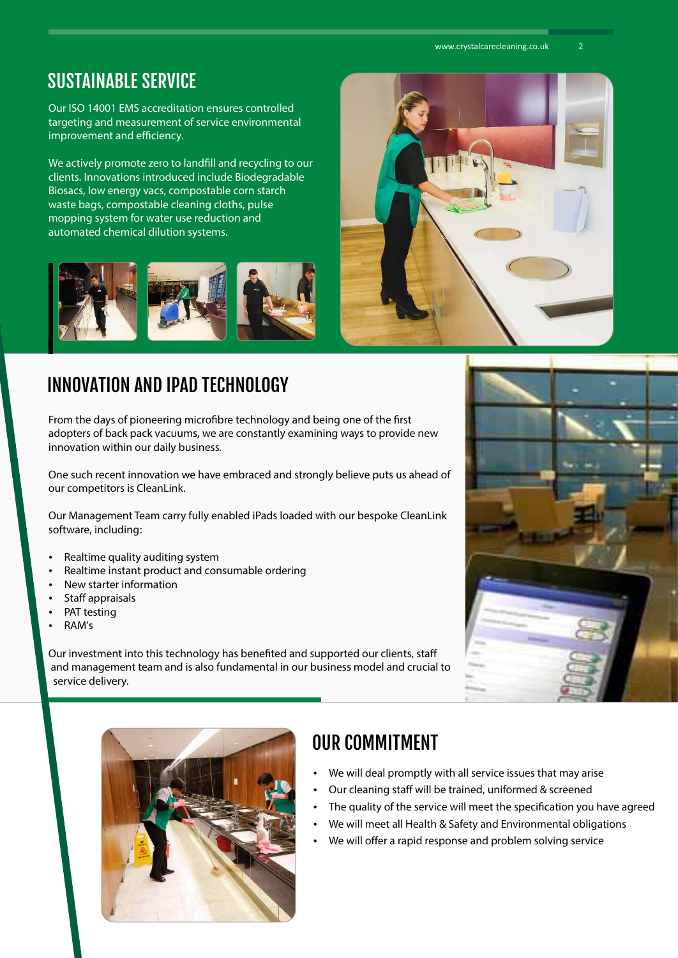#### SUSTAINABLE SERVICE

Our ISO 14001 EMS accreditation ensures controlled targeting and measurement of service environmental improvement and efficiency.

We actively promote zero to landfill and recycling to our clients. Innovations introduced include Biodegradable Biosacs, low energy vacs, compostable corn starch waste bags, compostable cleaning cloths, pulse mopping system for water use reduction and automated chemical dilution systems.



# INNOVATION AND IPAD TECHNOLOGY

From the days of pioneering microfibre technology and being one of the first adopters of back pack vacuums, we are constantly examining ways to provide new innovation within our daily business.

One such recent innovation we have embraced and strongly believe puts us ahead of our competitors is CleanLink.

Our Management Team carry fully enabled iPads loaded with our bespoke CleanLink software, including:

- Realtime quality auditing system
- Realtime instant product and consumable ordering
- New starter information
- Staff appraisals
- PAT testing
- RAM's

Our investment into this technology has benefited and supported our clients, staff and management team and is also fundamental in our business model and crucial to service delivery.







## OUR COMMITMENT

- We will deal promptly with all service issues that may arise
- Our cleaning staff will be trained, uniformed & screened
- The quality of the service will meet the specification you have agreed
- We will meet all Health & Safety and Environmental obligations
- We will offer a rapid response and problem solving service